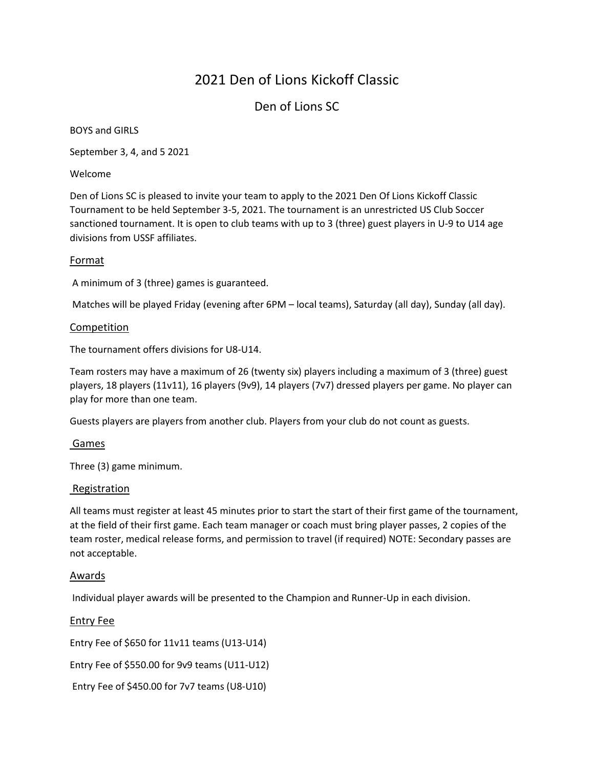## Den of Lions SC

BOYS and GIRLS

September 3, 4, and 5 2021

Welcome

Den of Lions SC is pleased to invite your team to apply to the 2021 Den Of Lions Kickoff Classic Tournament to be held September 3-5, 2021. The tournament is an unrestricted US Club Soccer sanctioned tournament. It is open to club teams with up to 3 (three) guest players in U-9 to U14 age divisions from USSF affiliates.

## Format

A minimum of 3 (three) games is guaranteed.

Matches will be played Friday (evening after 6PM – local teams), Saturday (all day), Sunday (all day).

#### Competition

The tournament offers divisions for U8-U14.

Team rosters may have a maximum of 26 (twenty six) players including a maximum of 3 (three) guest players, 18 players (11v11), 16 players (9v9), 14 players (7v7) dressed players per game. No player can play for more than one team.

Guests players are players from another club. Players from your club do not count as guests.

#### Games

Three (3) game minimum.

#### Registration

All teams must register at least 45 minutes prior to start the start of their first game of the tournament, at the field of their first game. Each team manager or coach must bring player passes, 2 copies of the team roster, medical release forms, and permission to travel (if required) NOTE: Secondary passes are not acceptable.

#### Awards

Individual player awards will be presented to the Champion and Runner-Up in each division.

#### Entry Fee

Entry Fee of \$650 for 11v11 teams (U13-U14)

Entry Fee of \$550.00 for 9v9 teams (U11-U12)

Entry Fee of \$450.00 for 7v7 teams (U8-U10)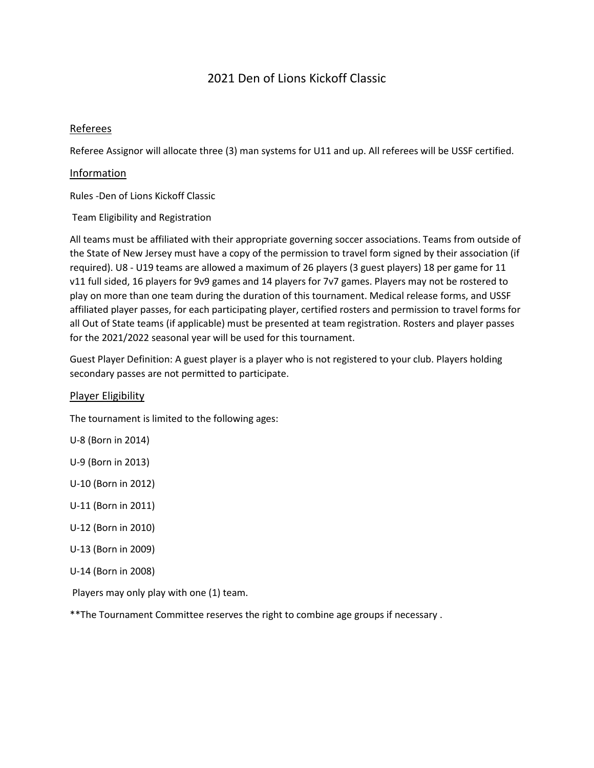### Referees

Referee Assignor will allocate three (3) man systems for U11 and up. All referees will be USSF certified.

#### Information

Rules -Den of Lions Kickoff Classic

Team Eligibility and Registration

All teams must be affiliated with their appropriate governing soccer associations. Teams from outside of the State of New Jersey must have a copy of the permission to travel form signed by their association (if required). U8 - U19 teams are allowed a maximum of 26 players (3 guest players) 18 per game for 11 v11 full sided, 16 players for 9v9 games and 14 players for 7v7 games. Players may not be rostered to play on more than one team during the duration of this tournament. Medical release forms, and USSF affiliated player passes, for each participating player, certified rosters and permission to travel forms for all Out of State teams (if applicable) must be presented at team registration. Rosters and player passes for the 2021/2022 seasonal year will be used for this tournament.

Guest Player Definition: A guest player is a player who is not registered to your club. Players holding secondary passes are not permitted to participate.

#### Player Eligibility

The tournament is limited to the following ages:

U-8 (Born in 2014)

U-9 (Born in 2013)

U-10 (Born in 2012)

U-11 (Born in 2011)

- U-12 (Born in 2010)
- U-13 (Born in 2009)
- U-14 (Born in 2008)

Players may only play with one (1) team.

\*\*The Tournament Committee reserves the right to combine age groups if necessary .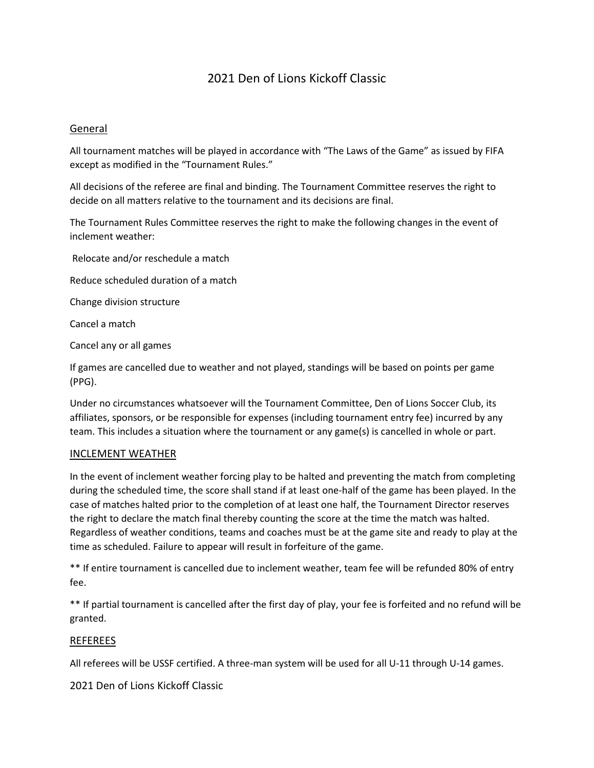### General

All tournament matches will be played in accordance with "The Laws of the Game" as issued by FIFA except as modified in the "Tournament Rules."

All decisions of the referee are final and binding. The Tournament Committee reserves the right to decide on all matters relative to the tournament and its decisions are final.

The Tournament Rules Committee reserves the right to make the following changes in the event of inclement weather:

Relocate and/or reschedule a match

Reduce scheduled duration of a match

Change division structure

Cancel a match

Cancel any or all games

If games are cancelled due to weather and not played, standings will be based on points per game (PPG).

Under no circumstances whatsoever will the Tournament Committee, Den of Lions Soccer Club, its affiliates, sponsors, or be responsible for expenses (including tournament entry fee) incurred by any team. This includes a situation where the tournament or any game(s) is cancelled in whole or part.

#### INCLEMENT WEATHER

In the event of inclement weather forcing play to be halted and preventing the match from completing during the scheduled time, the score shall stand if at least one-half of the game has been played. In the case of matches halted prior to the completion of at least one half, the Tournament Director reserves the right to declare the match final thereby counting the score at the time the match was halted. Regardless of weather conditions, teams and coaches must be at the game site and ready to play at the time as scheduled. Failure to appear will result in forfeiture of the game.

\*\* If entire tournament is cancelled due to inclement weather, team fee will be refunded 80% of entry fee.

\*\* If partial tournament is cancelled after the first day of play, your fee is forfeited and no refund will be granted.

## REFEREES

All referees will be USSF certified. A three-man system will be used for all U-11 through U-14 games.

2021 Den of Lions Kickoff Classic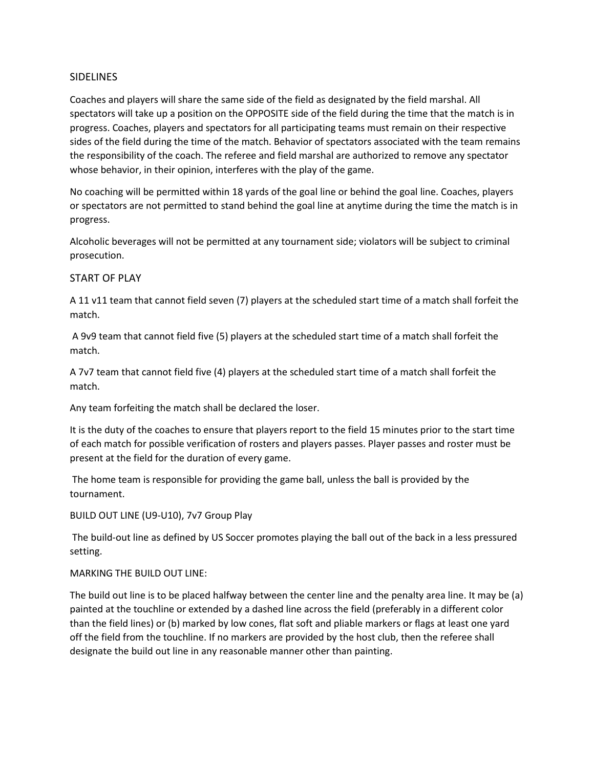### SIDELINES

Coaches and players will share the same side of the field as designated by the field marshal. All spectators will take up a position on the OPPOSITE side of the field during the time that the match is in progress. Coaches, players and spectators for all participating teams must remain on their respective sides of the field during the time of the match. Behavior of spectators associated with the team remains the responsibility of the coach. The referee and field marshal are authorized to remove any spectator whose behavior, in their opinion, interferes with the play of the game.

No coaching will be permitted within 18 yards of the goal line or behind the goal line. Coaches, players or spectators are not permitted to stand behind the goal line at anytime during the time the match is in progress.

Alcoholic beverages will not be permitted at any tournament side; violators will be subject to criminal prosecution.

## START OF PLAY

A 11 v11 team that cannot field seven (7) players at the scheduled start time of a match shall forfeit the match.

A 9v9 team that cannot field five (5) players at the scheduled start time of a match shall forfeit the match.

A 7v7 team that cannot field five (4) players at the scheduled start time of a match shall forfeit the match.

Any team forfeiting the match shall be declared the loser.

It is the duty of the coaches to ensure that players report to the field 15 minutes prior to the start time of each match for possible verification of rosters and players passes. Player passes and roster must be present at the field for the duration of every game.

The home team is responsible for providing the game ball, unless the ball is provided by the tournament.

BUILD OUT LINE (U9-U10), 7v7 Group Play

The build-out line as defined by US Soccer promotes playing the ball out of the back in a less pressured setting.

#### MARKING THE BUILD OUT LINE:

The build out line is to be placed halfway between the center line and the penalty area line. It may be (a) painted at the touchline or extended by a dashed line across the field (preferably in a different color than the field lines) or (b) marked by low cones, flat soft and pliable markers or flags at least one yard off the field from the touchline. If no markers are provided by the host club, then the referee shall designate the build out line in any reasonable manner other than painting.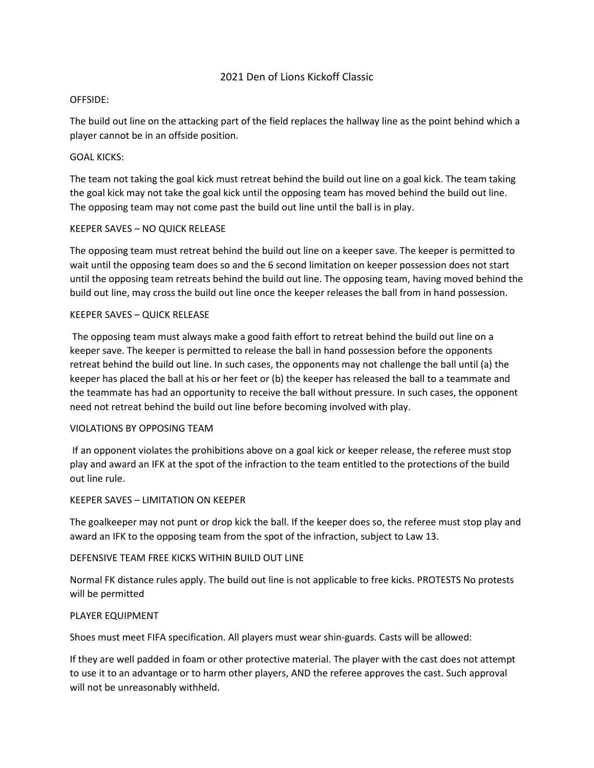#### OFFSIDE:

The build out line on the attacking part of the field replaces the hallway line as the point behind which a player cannot be in an offside position.

#### GOAL KICKS:

The team not taking the goal kick must retreat behind the build out line on a goal kick. The team taking the goal kick may not take the goal kick until the opposing team has moved behind the build out line. The opposing team may not come past the build out line until the ball is in play.

#### KEEPER SAVES – NO QUICK RELEASE

The opposing team must retreat behind the build out line on a keeper save. The keeper is permitted to wait until the opposing team does so and the 6 second limitation on keeper possession does not start until the opposing team retreats behind the build out line. The opposing team, having moved behind the build out line, may cross the build out line once the keeper releases the ball from in hand possession.

#### KEEPER SAVES – QUICK RELEASE

The opposing team must always make a good faith effort to retreat behind the build out line on a keeper save. The keeper is permitted to release the ball in hand possession before the opponents retreat behind the build out line. In such cases, the opponents may not challenge the ball until (a) the keeper has placed the ball at his or her feet or (b) the keeper has released the ball to a teammate and the teammate has had an opportunity to receive the ball without pressure. In such cases, the opponent need not retreat behind the build out line before becoming involved with play.

#### VIOLATIONS BY OPPOSING TEAM

If an opponent violates the prohibitions above on a goal kick or keeper release, the referee must stop play and award an IFK at the spot of the infraction to the team entitled to the protections of the build out line rule.

#### KEEPER SAVES – LIMITATION ON KEEPER

The goalkeeper may not punt or drop kick the ball. If the keeper does so, the referee must stop play and award an IFK to the opposing team from the spot of the infraction, subject to Law 13.

#### DEFENSIVE TEAM FREE KICKS WITHIN BUILD OUT LINE

Normal FK distance rules apply. The build out line is not applicable to free kicks. PROTESTS No protests will be permitted

#### PLAYER EQUIPMENT

Shoes must meet FIFA specification. All players must wear shin-guards. Casts will be allowed:

If they are well padded in foam or other protective material. The player with the cast does not attempt to use it to an advantage or to harm other players, AND the referee approves the cast. Such approval will not be unreasonably withheld.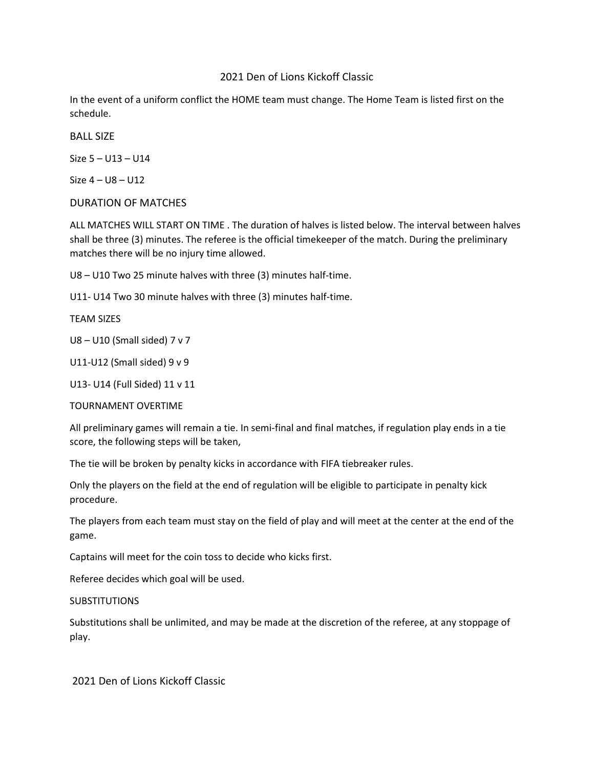In the event of a uniform conflict the HOME team must change. The Home Team is listed first on the schedule.

BALL SIZE

Size 5 – U13 – U14

Size 4 – U8 – U12

## DURATION OF MATCHES

ALL MATCHES WILL START ON TIME . The duration of halves is listed below. The interval between halves shall be three (3) minutes. The referee is the official timekeeper of the match. During the preliminary matches there will be no injury time allowed.

U8 – U10 Two 25 minute halves with three (3) minutes half-time.

U11- U14 Two 30 minute halves with three (3) minutes half-time.

TEAM SIZES

U8 – U10 (Small sided) 7 v 7

U11-U12 (Small sided) 9 v 9

U13- U14 (Full Sided) 11 v 11

TOURNAMENT OVERTIME

All preliminary games will remain a tie. In semi-final and final matches, if regulation play ends in a tie score, the following steps will be taken,

The tie will be broken by penalty kicks in accordance with FIFA tiebreaker rules.

Only the players on the field at the end of regulation will be eligible to participate in penalty kick procedure.

The players from each team must stay on the field of play and will meet at the center at the end of the game.

Captains will meet for the coin toss to decide who kicks first.

Referee decides which goal will be used.

**SUBSTITUTIONS** 

Substitutions shall be unlimited, and may be made at the discretion of the referee, at any stoppage of play.

2021 Den of Lions Kickoff Classic